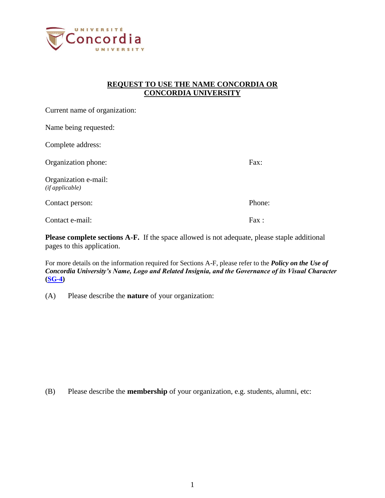

## **REQUEST TO USE THE NAME CONCORDIA OR CONCORDIA UNIVERSITY**

| Current name of organization:          |        |
|----------------------------------------|--------|
| Name being requested:                  |        |
| Complete address:                      |        |
| Organization phone:                    | Fax:   |
| Organization e-mail:<br>(ifappliedble) |        |
| Contact person:                        | Phone: |
| Contact e-mail:                        | Fax:   |

**Please complete sections A-F.** If the space allowed is not adequate, please staple additional pages to this application.

For more details on the information required for Sections A-F, please refer to the *Policy on the Use of Concordia University's Name, Logo and Related Insignia, and the Governance of its Visual Character* **[\(SG-4\)](http://www.concordia.ca/vpirsg/documents/policies/SG-4.pdf)**

(A) Please describe the **nature** of your organization:

(B) Please describe the **membership** of your organization, e.g. students, alumni, etc: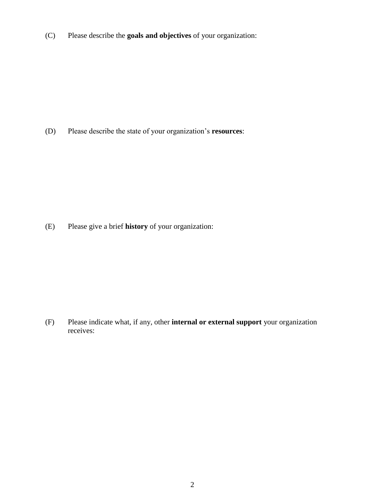(C) Please describe the **goals and objectives** of your organization:

(D) Please describe the state of your organization's **resources**:

(E) Please give a brief **history** of your organization:

(F) Please indicate what, if any, other **internal or external support** your organization receives: